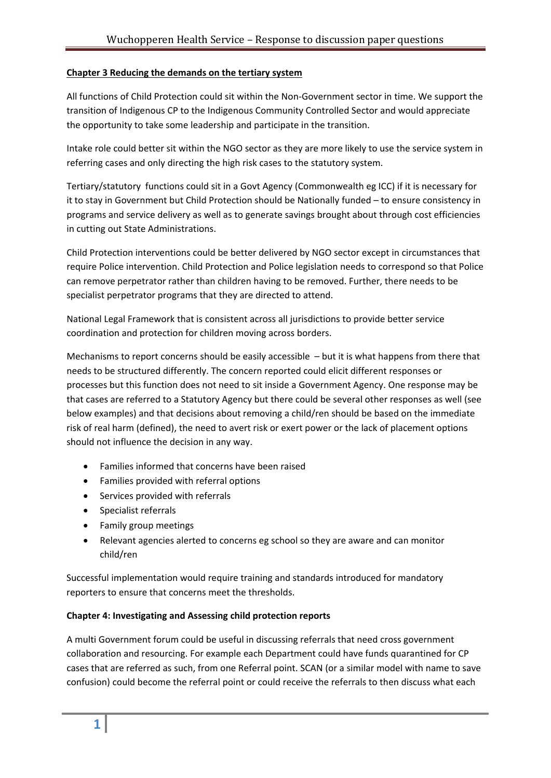## **Chapter 3 Reducing the demands on the tertiary system**

All functions of Child Protection could sit within the Non‐Government sector in time. We support the transition of Indigenous CP to the Indigenous Community Controlled Sector and would appreciate the opportunity to take some leadership and participate in the transition.

Intake role could better sit within the NGO sector as they are more likely to use the service system in referring cases and only directing the high risk cases to the statutory system.

Tertiary/statutory functions could sit in a Govt Agency (Commonwealth eg ICC) if it is necessary for it to stay in Government but Child Protection should be Nationally funded – to ensure consistency in programs and service delivery as well as to generate savings brought about through cost efficiencies in cutting out State Administrations.

Child Protection interventions could be better delivered by NGO sector except in circumstances that require Police intervention. Child Protection and Police legislation needs to correspond so that Police can remove perpetrator rather than children having to be removed. Further, there needs to be specialist perpetrator programs that they are directed to attend.

National Legal Framework that is consistent across all jurisdictions to provide better service coordination and protection for children moving across borders.

Mechanisms to report concerns should be easily accessible – but it is what happens from there that needs to be structured differently. The concern reported could elicit different responses or processes but this function does not need to sit inside a Government Agency. One response may be that cases are referred to a Statutory Agency but there could be several other responses as well (see below examples) and that decisions about removing a child/ren should be based on the immediate risk of real harm (defined), the need to avert risk or exert power or the lack of placement options should not influence the decision in any way.

- Families informed that concerns have been raised
- Families provided with referral options
- Services provided with referrals
- Specialist referrals
- Family group meetings
- Relevant agencies alerted to concerns eg school so they are aware and can monitor child/ren

Successful implementation would require training and standards introduced for mandatory reporters to ensure that concerns meet the thresholds.

#### **Chapter 4: Investigating and Assessing child protection reports**

A multi Government forum could be useful in discussing referrals that need cross government collaboration and resourcing. For example each Department could have funds quarantined for CP cases that are referred as such, from one Referral point. SCAN (or a similar model with name to save confusion) could become the referral point or could receive the referrals to then discuss what each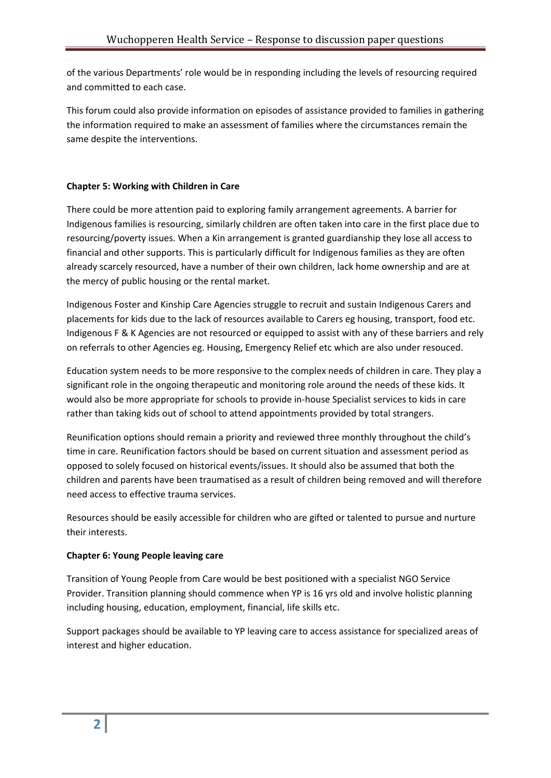of the various Departments' role would be in responding including the levels of resourcing required and committed to each case.

This forum could also provide information on episodes of assistance provided to families in gathering the information required to make an assessment of families where the circumstances remain the same despite the interventions.

# **Chapter 5: Working with Children in Care**

There could be more attention paid to exploring family arrangement agreements. A barrier for Indigenous families is resourcing, similarly children are often taken into care in the first place due to resourcing/poverty issues. When a Kin arrangement is granted guardianship they lose all access to financial and other supports. This is particularly difficult for Indigenous families as they are often already scarcely resourced, have a number of their own children, lack home ownership and are at the mercy of public housing or the rental market.

Indigenous Foster and Kinship Care Agencies struggle to recruit and sustain Indigenous Carers and placements for kids due to the lack of resources available to Carers eg housing, transport, food etc. Indigenous F & K Agencies are not resourced or equipped to assist with any of these barriers and rely on referrals to other Agencies eg. Housing, Emergency Relief etc which are also under resouced.

Education system needs to be more responsive to the complex needs of children in care. They play a significant role in the ongoing therapeutic and monitoring role around the needs of these kids. It would also be more appropriate for schools to provide in‐house Specialist services to kids in care rather than taking kids out of school to attend appointments provided by total strangers.

Reunification options should remain a priority and reviewed three monthly throughout the child's time in care. Reunification factors should be based on current situation and assessment period as opposed to solely focused on historical events/issues. It should also be assumed that both the children and parents have been traumatised as a result of children being removed and will therefore need access to effective trauma services.

Resources should be easily accessible for children who are gifted or talented to pursue and nurture their interests.

# **Chapter 6: Young People leaving care**

Transition of Young People from Care would be best positioned with a specialist NGO Service Provider. Transition planning should commence when YP is 16 yrs old and involve holistic planning including housing, education, employment, financial, life skills etc.

Support packages should be available to YP leaving care to access assistance for specialized areas of interest and higher education.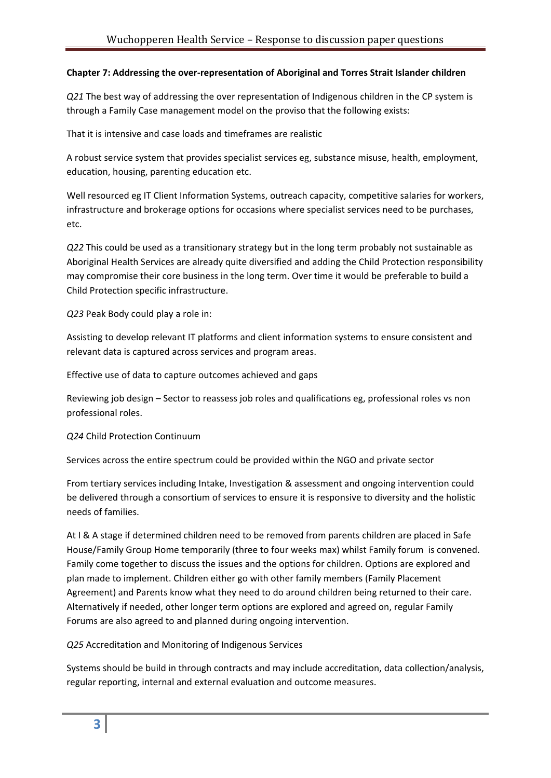## **Chapter 7: Addressing the over‐representation of Aboriginal and Torres Strait Islander children**

*Q21* The best way of addressing the over representation of Indigenous children in the CP system is through a Family Case management model on the proviso that the following exists:

That it is intensive and case loads and timeframes are realistic

A robust service system that provides specialist services eg, substance misuse, health, employment, education, housing, parenting education etc.

Well resourced eg IT Client Information Systems, outreach capacity, competitive salaries for workers, infrastructure and brokerage options for occasions where specialist services need to be purchases, etc.

*Q22* This could be used as a transitionary strategy but in the long term probably not sustainable as Aboriginal Health Services are already quite diversified and adding the Child Protection responsibility may compromise their core business in the long term. Over time it would be preferable to build a Child Protection specific infrastructure.

*Q23* Peak Body could play a role in:

Assisting to develop relevant IT platforms and client information systems to ensure consistent and relevant data is captured across services and program areas.

Effective use of data to capture outcomes achieved and gaps

Reviewing job design – Sector to reassess job roles and qualifications eg, professional roles vs non professional roles.

*Q24* Child Protection Continuum

Services across the entire spectrum could be provided within the NGO and private sector

From tertiary services including Intake, Investigation & assessment and ongoing intervention could be delivered through a consortium of services to ensure it is responsive to diversity and the holistic needs of families.

At I & A stage if determined children need to be removed from parents children are placed in Safe House/Family Group Home temporarily (three to four weeks max) whilst Family forum is convened. Family come together to discuss the issues and the options for children. Options are explored and plan made to implement. Children either go with other family members (Family Placement Agreement) and Parents know what they need to do around children being returned to their care. Alternatively if needed, other longer term options are explored and agreed on, regular Family Forums are also agreed to and planned during ongoing intervention.

*Q25* Accreditation and Monitoring of Indigenous Services

Systems should be build in through contracts and may include accreditation, data collection/analysis, regular reporting, internal and external evaluation and outcome measures.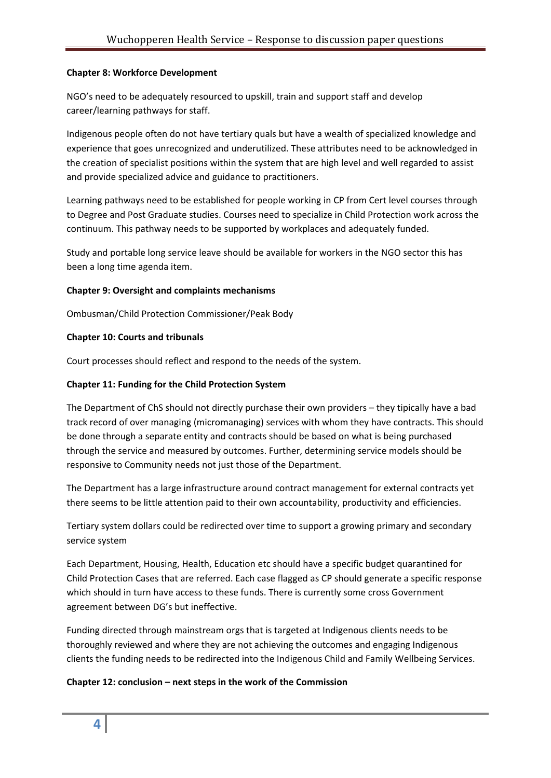### **Chapter 8: Workforce Development**

NGO's need to be adequately resourced to upskill, train and support staff and develop career/learning pathways for staff.

Indigenous people often do not have tertiary quals but have a wealth of specialized knowledge and experience that goes unrecognized and underutilized. These attributes need to be acknowledged in the creation of specialist positions within the system that are high level and well regarded to assist and provide specialized advice and guidance to practitioners.

Learning pathways need to be established for people working in CP from Cert level courses through to Degree and Post Graduate studies. Courses need to specialize in Child Protection work across the continuum. This pathway needs to be supported by workplaces and adequately funded.

Study and portable long service leave should be available for workers in the NGO sector this has been a long time agenda item.

## **Chapter 9: Oversight and complaints mechanisms**

Ombusman/Child Protection Commissioner/Peak Body

## **Chapter 10: Courts and tribunals**

Court processes should reflect and respond to the needs of the system.

## **Chapter 11: Funding for the Child Protection System**

The Department of ChS should not directly purchase their own providers – they tipically have a bad track record of over managing (micromanaging) services with whom they have contracts. This should be done through a separate entity and contracts should be based on what is being purchased through the service and measured by outcomes. Further, determining service models should be responsive to Community needs not just those of the Department.

The Department has a large infrastructure around contract management for external contracts yet there seems to be little attention paid to their own accountability, productivity and efficiencies.

Tertiary system dollars could be redirected over time to support a growing primary and secondary service system

Each Department, Housing, Health, Education etc should have a specific budget quarantined for Child Protection Cases that are referred. Each case flagged as CP should generate a specific response which should in turn have access to these funds. There is currently some cross Government agreement between DG's but ineffective.

Funding directed through mainstream orgs that is targeted at Indigenous clients needs to be thoroughly reviewed and where they are not achieving the outcomes and engaging Indigenous clients the funding needs to be redirected into the Indigenous Child and Family Wellbeing Services.

#### **Chapter 12: conclusion – next steps in the work of the Commission**